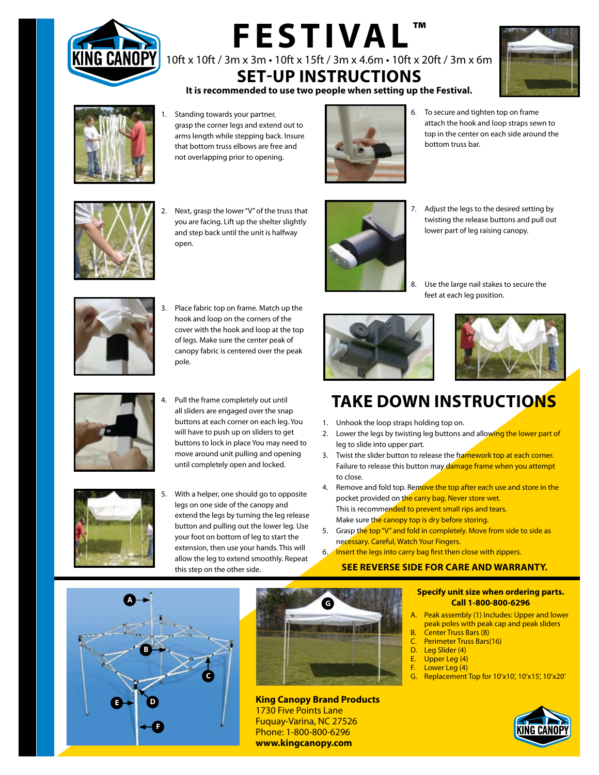

# **FESTIVAL ™** 10ft x 10ft / 3m x 3m • 10ft x 15ft / 3m x 4.6m • 10ft x 20ft / 3m x 6m

**Set-Up Instructions It is recommended to use two people when setting up the Festival.**





1. Standing towards your partner, grasp the corner legs and extend out to arms length while stepping back. Insure that bottom truss elbows are free and not overlapping prior to opening.



6. To secure and tighten top on frame attach the hook and loop straps sewn to top in the center on each side around the bottom truss bar.



2. Next, grasp the lower "V" of the truss that you are facing. Lift up the shelter slightly and step back until the unit is halfway open.



7. Adjust the legs to the desired setting by twisting the release buttons and pull out lower part of leg raising canopy.

Use the large nail stakes to secure the

feet at each leg position.

- 
- 3. Place fabric top on frame. Match up the hook and loop on the corners of the cover with the hook and loop at the top of legs. Make sure the center peak of canopy fabric is centered over the peak pole.



Pull the frame completely out until all sliders are engaged over the snap buttons at each corner on each leg. You will have to push up on sliders to get buttons to lock in place You may need to move around unit pulling and opening until completely open and locked.



5. With a helper, one should go to opposite legs on one side of the canopy and extend the legs by turning the leg release button and pulling out the lower leg. Use your foot on bottom of leg to start the extension, then use your hands. This will allow the leg to extend smoothly. Repeat this step on the other side.





## **TAKE DOWN Instructions**

- 1. Unhook the loop straps holding top on.
- 2. Lower the legs by twisting leg buttons and allowing the lower part of leg to slide into upper part.
- 3. Twist the slider button to release the framework top at each corner. Failure to release this button may damage frame when you attempt to close.
- 4. Remove and fold top. Remove the top after each use and store in the pocket provided on the carry bag. Never store wet. This is recommended to prevent small rips and tears. Make sure the canopy top is dry before storing.
- 5. Grasp the top "V" and fold in completely. Move from side to side as necessary. Careful, Watch Your Fingers.
- 6. Insert the legs into carry bag first then close with zippers.

## **See Reverse Side for Care and Warranty.**

#### **Specify unit size when ordering parts. Call 1-800-800-6296**

- Peak assembly (1) Includes: Upper and lower peak poles with peak cap and peak sliders
- B. Center Truss Bars (8)
- C. Perimeter Truss Bars(16)
- D. Leg Slider (4)
- E. Upper Leg (4)
- F. Lower Leg (4)
- Replacement Top for 10'x10', 10'x15', 10'x20'







**King Canopy Brand Products** 1730 Five Points Lane Fuquay-Varina, NC 27526 Phone: 1-800-800-6296 **www.kingcanopy.com**